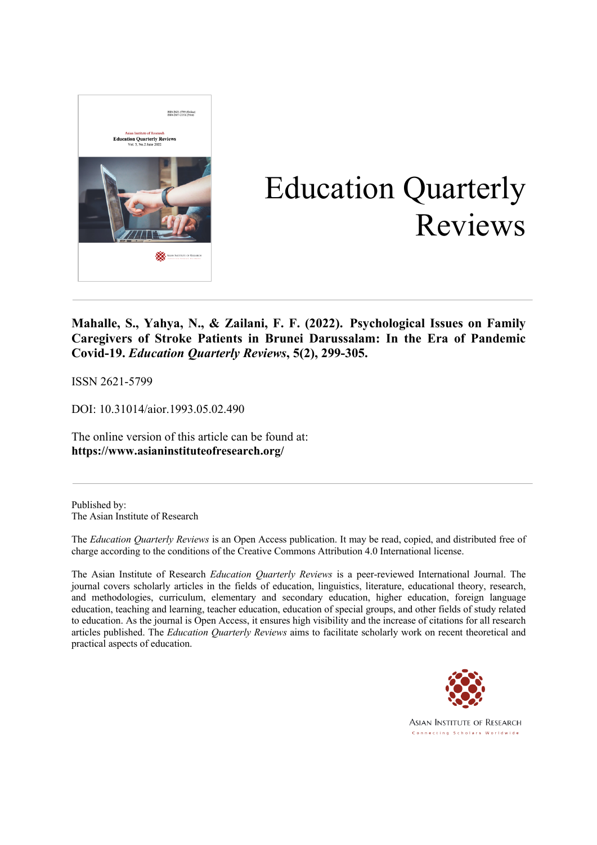

# Education Quarterly Reviews

**Mahalle, S., Yahya, N., & Zailani, F. F. (2022). Psychological Issues on Family Caregivers of Stroke Patients in Brunei Darussalam: In the Era of Pandemic Covid-19.** *Education Quarterly Reviews***, 5(2), 299-305.**

ISSN 2621-5799

DOI: 10.31014/aior.1993.05.02.490

The online version of this article can be found at: **https://www.asianinstituteofresearch.org/**

Published by: The Asian Institute of Research

The *Education Quarterly Reviews* is an Open Access publication. It may be read, copied, and distributed free of charge according to the conditions of the Creative Commons Attribution 4.0 International license.

The Asian Institute of Research *Education Quarterly Reviews* is a peer-reviewed International Journal. The journal covers scholarly articles in the fields of education, linguistics, literature, educational theory, research, and methodologies, curriculum, elementary and secondary education, higher education, foreign language education, teaching and learning, teacher education, education of special groups, and other fields of study related to education. As the journal is Open Access, it ensures high visibility and the increase of citations for all research articles published. The *Education Quarterly Reviews* aims to facilitate scholarly work on recent theoretical and practical aspects of education.



**ASIAN INSTITUTE OF RESEARCH** Connecting Scholars Worldwide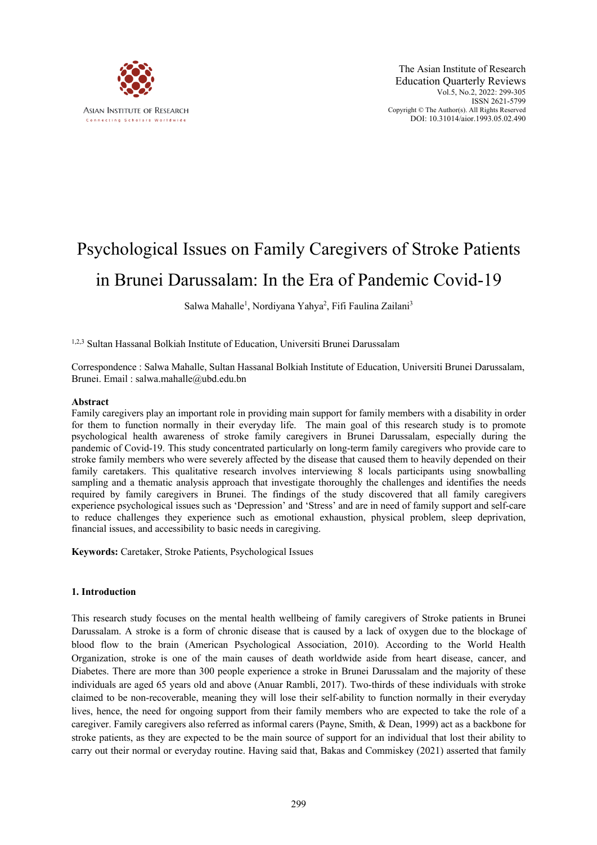

# Psychological Issues on Family Caregivers of Stroke Patients in Brunei Darussalam: In the Era of Pandemic Covid-19

Salwa Mahalle<sup>1</sup>, Nordiyana Yahya<sup>2</sup>, Fifi Faulina Zailani<sup>3</sup>

1,2,3 Sultan Hassanal Bolkiah Institute of Education, Universiti Brunei Darussalam

Correspondence : Salwa Mahalle, Sultan Hassanal Bolkiah Institute of Education, Universiti Brunei Darussalam, Brunei. Email : salwa.mahalle@ubd.edu.bn

#### **Abstract**

Family caregivers play an important role in providing main support for family members with a disability in order for them to function normally in their everyday life. The main goal of this research study is to promote psychological health awareness of stroke family caregivers in Brunei Darussalam, especially during the pandemic of Covid-19. This study concentrated particularly on long-term family caregivers who provide care to stroke family members who were severely affected by the disease that caused them to heavily depended on their family caretakers. This qualitative research involves interviewing 8 locals participants using snowballing sampling and a thematic analysis approach that investigate thoroughly the challenges and identifies the needs required by family caregivers in Brunei. The findings of the study discovered that all family caregivers experience psychological issues such as 'Depression' and 'Stress' and are in need of family support and self-care to reduce challenges they experience such as emotional exhaustion, physical problem, sleep deprivation, financial issues, and accessibility to basic needs in caregiving.

**Keywords:** Caretaker, Stroke Patients, Psychological Issues

#### **1. Introduction**

This research study focuses on the mental health wellbeing of family caregivers of Stroke patients in Brunei Darussalam. A stroke is a form of chronic disease that is caused by a lack of oxygen due to the blockage of blood flow to the brain (American Psychological Association, 2010). According to the World Health Organization, stroke is one of the main causes of death worldwide aside from heart disease, cancer, and Diabetes. There are more than 300 people experience a stroke in Brunei Darussalam and the majority of these individuals are aged 65 years old and above (Anuar Rambli, 2017). Two-thirds of these individuals with stroke claimed to be non-recoverable, meaning they will lose their self-ability to function normally in their everyday lives, hence, the need for ongoing support from their family members who are expected to take the role of a caregiver. Family caregivers also referred as informal carers (Payne, Smith, & Dean, 1999) act as a backbone for stroke patients, as they are expected to be the main source of support for an individual that lost their ability to carry out their normal or everyday routine. Having said that, Bakas and Commiskey (2021) asserted that family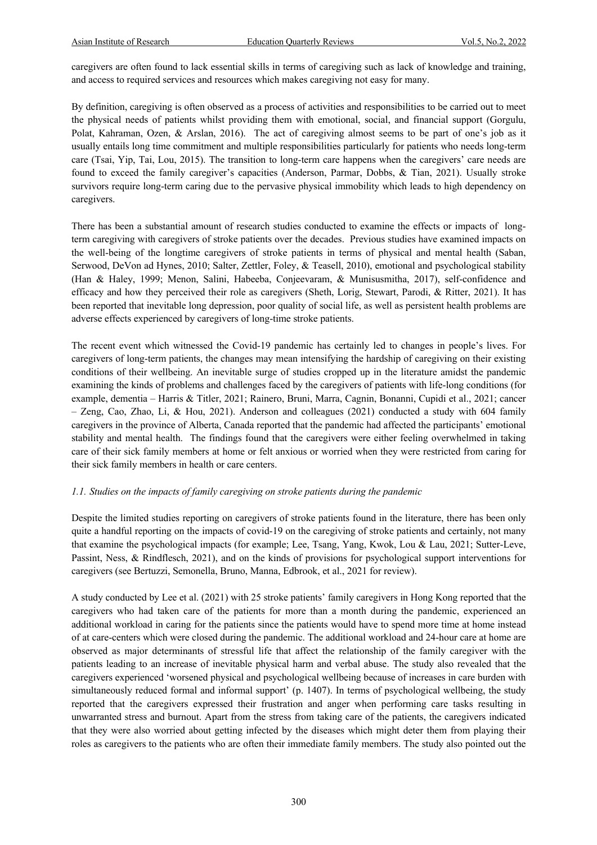caregivers are often found to lack essential skills in terms of caregiving such as lack of knowledge and training, and access to required services and resources which makes caregiving not easy for many.

By definition, caregiving is often observed as a process of activities and responsibilities to be carried out to meet the physical needs of patients whilst providing them with emotional, social, and financial support (Gorgulu, Polat, Kahraman, Ozen, & Arslan, 2016). The act of caregiving almost seems to be part of one's job as it usually entails long time commitment and multiple responsibilities particularly for patients who needs long-term care (Tsai, Yip, Tai, Lou, 2015). The transition to long-term care happens when the caregivers' care needs are found to exceed the family caregiver's capacities (Anderson, Parmar, Dobbs, & Tian, 2021). Usually stroke survivors require long-term caring due to the pervasive physical immobility which leads to high dependency on caregivers.

There has been a substantial amount of research studies conducted to examine the effects or impacts of longterm caregiving with caregivers of stroke patients over the decades. Previous studies have examined impacts on the well-being of the longtime caregivers of stroke patients in terms of physical and mental health (Saban, Serwood, DeVon ad Hynes, 2010; Salter, Zettler, Foley, & Teasell, 2010), emotional and psychological stability (Han & Haley, 1999; Menon, Salini, Habeeba, Conjeevaram, & Munisusmitha, 2017), self-confidence and efficacy and how they perceived their role as caregivers (Sheth, Lorig, Stewart, Parodi, & Ritter, 2021). It has been reported that inevitable long depression, poor quality of social life, as well as persistent health problems are adverse effects experienced by caregivers of long-time stroke patients.

The recent event which witnessed the Covid-19 pandemic has certainly led to changes in people's lives. For caregivers of long-term patients, the changes may mean intensifying the hardship of caregiving on their existing conditions of their wellbeing. An inevitable surge of studies cropped up in the literature amidst the pandemic examining the kinds of problems and challenges faced by the caregivers of patients with life-long conditions (for example, dementia – Harris & Titler, 2021; Rainero, Bruni, Marra, Cagnin, Bonanni, Cupidi et al., 2021; cancer – Zeng, Cao, Zhao, Li, & Hou, 2021). Anderson and colleagues (2021) conducted a study with 604 family caregivers in the province of Alberta, Canada reported that the pandemic had affected the participants' emotional stability and mental health. The findings found that the caregivers were either feeling overwhelmed in taking care of their sick family members at home or felt anxious or worried when they were restricted from caring for their sick family members in health or care centers.

#### *1.1. Studies on the impacts of family caregiving on stroke patients during the pandemic*

Despite the limited studies reporting on caregivers of stroke patients found in the literature, there has been only quite a handful reporting on the impacts of covid-19 on the caregiving of stroke patients and certainly, not many that examine the psychological impacts (for example; Lee, Tsang, Yang, Kwok, Lou & Lau, 2021; Sutter-Leve, Passint, Ness, & Rindflesch, 2021), and on the kinds of provisions for psychological support interventions for caregivers (see Bertuzzi, Semonella, Bruno, Manna, Edbrook, et al., 2021 for review).

A study conducted by Lee et al. (2021) with 25 stroke patients' family caregivers in Hong Kong reported that the caregivers who had taken care of the patients for more than a month during the pandemic, experienced an additional workload in caring for the patients since the patients would have to spend more time at home instead of at care-centers which were closed during the pandemic. The additional workload and 24-hour care at home are observed as major determinants of stressful life that affect the relationship of the family caregiver with the patients leading to an increase of inevitable physical harm and verbal abuse. The study also revealed that the caregivers experienced 'worsened physical and psychological wellbeing because of increases in care burden with simultaneously reduced formal and informal support' (p. 1407). In terms of psychological wellbeing, the study reported that the caregivers expressed their frustration and anger when performing care tasks resulting in unwarranted stress and burnout. Apart from the stress from taking care of the patients, the caregivers indicated that they were also worried about getting infected by the diseases which might deter them from playing their roles as caregivers to the patients who are often their immediate family members. The study also pointed out the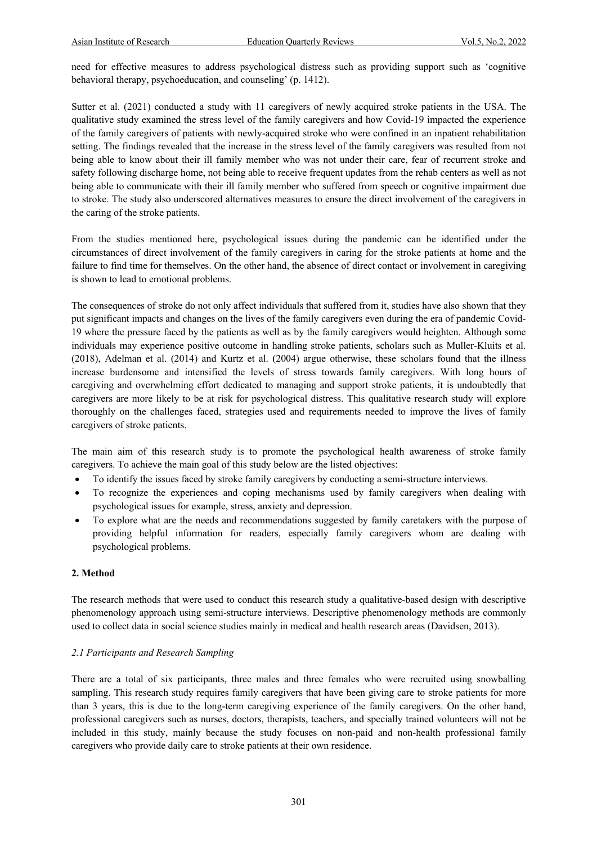need for effective measures to address psychological distress such as providing support such as 'cognitive behavioral therapy, psychoeducation, and counseling' (p. 1412).

Sutter et al. (2021) conducted a study with 11 caregivers of newly acquired stroke patients in the USA. The qualitative study examined the stress level of the family caregivers and how Covid-19 impacted the experience of the family caregivers of patients with newly-acquired stroke who were confined in an inpatient rehabilitation setting. The findings revealed that the increase in the stress level of the family caregivers was resulted from not being able to know about their ill family member who was not under their care, fear of recurrent stroke and safety following discharge home, not being able to receive frequent updates from the rehab centers as well as not being able to communicate with their ill family member who suffered from speech or cognitive impairment due to stroke. The study also underscored alternatives measures to ensure the direct involvement of the caregivers in the caring of the stroke patients.

From the studies mentioned here, psychological issues during the pandemic can be identified under the circumstances of direct involvement of the family caregivers in caring for the stroke patients at home and the failure to find time for themselves. On the other hand, the absence of direct contact or involvement in caregiving is shown to lead to emotional problems.

The consequences of stroke do not only affect individuals that suffered from it, studies have also shown that they put significant impacts and changes on the lives of the family caregivers even during the era of pandemic Covid-19 where the pressure faced by the patients as well as by the family caregivers would heighten. Although some individuals may experience positive outcome in handling stroke patients, scholars such as Muller-Kluits et al. (2018), Adelman et al. (2014) and Kurtz et al. (2004) argue otherwise, these scholars found that the illness increase burdensome and intensified the levels of stress towards family caregivers. With long hours of caregiving and overwhelming effort dedicated to managing and support stroke patients, it is undoubtedly that caregivers are more likely to be at risk for psychological distress. This qualitative research study will explore thoroughly on the challenges faced, strategies used and requirements needed to improve the lives of family caregivers of stroke patients.

The main aim of this research study is to promote the psychological health awareness of stroke family caregivers. To achieve the main goal of this study below are the listed objectives:

- To identify the issues faced by stroke family caregivers by conducting a semi-structure interviews.
- To recognize the experiences and coping mechanisms used by family caregivers when dealing with psychological issues for example, stress, anxiety and depression.
- To explore what are the needs and recommendations suggested by family caretakers with the purpose of providing helpful information for readers, especially family caregivers whom are dealing with psychological problems.

# **2. Method**

The research methods that were used to conduct this research study a qualitative-based design with descriptive phenomenology approach using semi-structure interviews. Descriptive phenomenology methods are commonly used to collect data in social science studies mainly in medical and health research areas (Davidsen, 2013).

#### *2.1 Participants and Research Sampling*

There are a total of six participants, three males and three females who were recruited using snowballing sampling. This research study requires family caregivers that have been giving care to stroke patients for more than 3 years, this is due to the long-term caregiving experience of the family caregivers. On the other hand, professional caregivers such as nurses, doctors, therapists, teachers, and specially trained volunteers will not be included in this study, mainly because the study focuses on non-paid and non-health professional family caregivers who provide daily care to stroke patients at their own residence.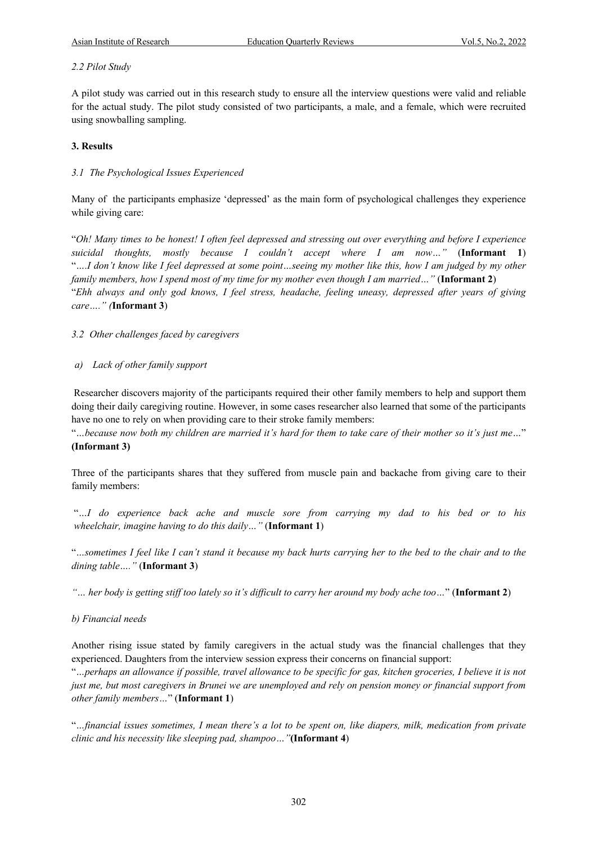# *2.2 Pilot Study*

A pilot study was carried out in this research study to ensure all the interview questions were valid and reliable for the actual study. The pilot study consisted of two participants, a male, and a female, which were recruited using snowballing sampling.

# **3. Results**

# *3.1 The Psychological Issues Experienced*

Many of the participants emphasize 'depressed' as the main form of psychological challenges they experience while giving care:

"*Oh! Many times to be honest! I often feel depressed and stressing out over everything and before I experience suicidal thoughts, mostly because I couldn't accept where I am now…"* (**Informant 1**) "*….I don't know like I feel depressed at some point…seeing my mother like this, how I am judged by my other family members, how I spend most of my time for my mother even though I am married…"* (**Informant 2**) "*Ehh always and only god knows, I feel stress, headache, feeling uneasy, depressed after years of giving care…." (***Informant 3**)

*3.2 Other challenges faced by caregivers*

#### *a) Lack of other family support*

Researcher discovers majority of the participants required their other family members to help and support them doing their daily caregiving routine. However, in some cases researcher also learned that some of the participants have no one to rely on when providing care to their stroke family members:

"*…because now both my children are married it's hard for them to take care of their mother so it's just me…*" **(Informant 3)**

Three of the participants shares that they suffered from muscle pain and backache from giving care to their family members:

"*…I do experience back ache and muscle sore from carrying my dad to his bed or to his wheelchair, imagine having to do this daily…"* (**Informant 1**)

"*…sometimes I feel like I can't stand it because my back hurts carrying her to the bed to the chair and to the dining table…."* (**Informant 3**)

*"… her body is getting stiff too lately so it's difficult to carry her around my body ache too…*" (**Informant 2**)

#### *b) Financial needs*

Another rising issue stated by family caregivers in the actual study was the financial challenges that they experienced. Daughters from the interview session express their concerns on financial support:

"*…perhaps an allowance if possible, travel allowance to be specific for gas, kitchen groceries, I believe it is not just me, but most caregivers in Brunei we are unemployed and rely on pension money or financial support from other family members…*" (**Informant 1**)

"*…financial issues sometimes, I mean there's a lot to be spent on, like diapers, milk, medication from private clinic and his necessity like sleeping pad, shampoo…"***(Informant 4**)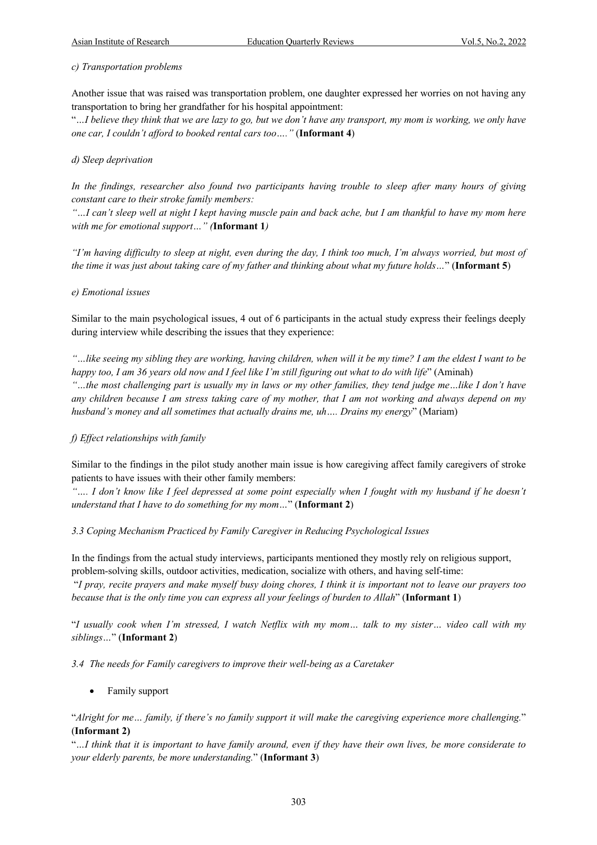#### *c) Transportation problems*

Another issue that was raised was transportation problem, one daughter expressed her worries on not having any transportation to bring her grandfather for his hospital appointment:

"*…I believe they think that we are lazy to go, but we don't have any transport, my mom is working, we only have one car, I couldn't afford to booked rental cars too…."* (**Informant 4**)

#### *d) Sleep deprivation*

*In the findings, researcher also found two participants having trouble to sleep after many hours of giving constant care to their stroke family members:* 

*"…I can't sleep well at night I kept having muscle pain and back ache, but I am thankful to have my mom here with me for emotional support…" (***Informant 1***)*

*"I'm having difficulty to sleep at night, even during the day, I think too much, I'm always worried, but most of the time it was just about taking care of my father and thinking about what my future holds…*" (**Informant 5**)

#### *e) Emotional issues*

Similar to the main psychological issues, 4 out of 6 participants in the actual study express their feelings deeply during interview while describing the issues that they experience:

*"…like seeing my sibling they are working, having children, when will it be my time? I am the eldest I want to be happy too, I am 36 years old now and I feel like I'm still figuring out what to do with life*" (Aminah) *"…the most challenging part is usually my in laws or my other families, they tend judge me…like I don't have any children because I am stress taking care of my mother, that I am not working and always depend on my husband's money and all sometimes that actually drains me, uh…. Drains my energy*" (Mariam)

#### *f) Effect relationships with family*

Similar to the findings in the pilot study another main issue is how caregiving affect family caregivers of stroke patients to have issues with their other family members:

*"…. I don't know like I feel depressed at some point especially when I fought with my husband if he doesn't understand that I have to do something for my mom…*" (**Informant 2**)

#### *3.3 Coping Mechanism Practiced by Family Caregiver in Reducing Psychological Issues*

In the findings from the actual study interviews, participants mentioned they mostly rely on religious support, problem-solving skills, outdoor activities, medication, socialize with others, and having self-time: "*I pray, recite prayers and make myself busy doing chores, I think it is important not to leave our prayers too* 

*because that is the only time you can express all your feelings of burden to Allah*" (**Informant 1**)

"*I usually cook when I'm stressed, I watch Netflix with my mom… talk to my sister… video call with my siblings…*" (**Informant 2**)

#### *3.4 The needs for Family caregivers to improve their well-being as a Caretaker*

• Family support

"*Alright for me… family, if there's no family support it will make the caregiving experience more challenging.*" (**Informant 2)**

"*…I think that it is important to have family around, even if they have their own lives, be more considerate to your elderly parents, be more understanding.*" (**Informant 3**)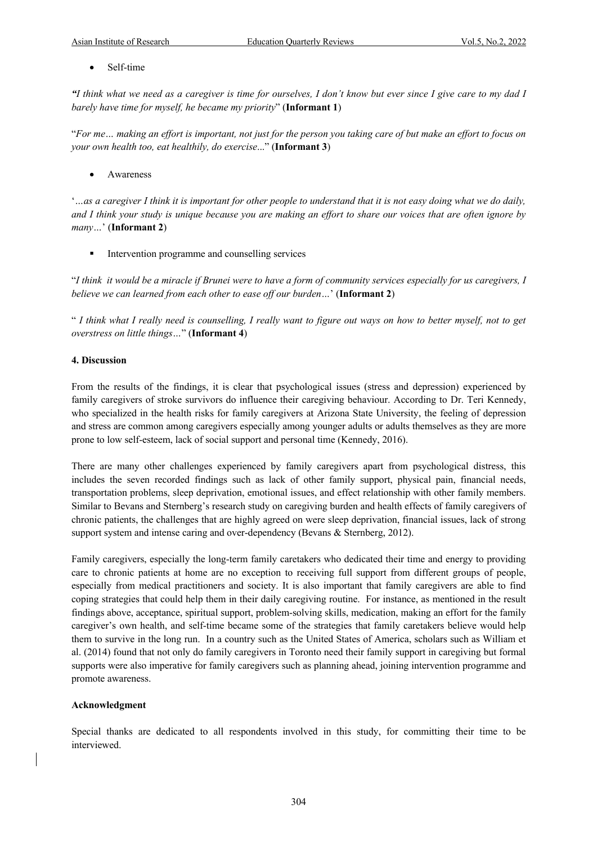Self-time

*"I think what we need as a caregiver is time for ourselves, I don't know but ever since I give care to my dad I barely have time for myself, he became my priority*" (**Informant 1**)

"*For me… making an effort is important, not just for the person you taking care of but make an effort to focus on your own health too, eat healthily, do exercise*..." (**Informant 3**)

**Awareness** 

'*…as a caregiver I think it is important for other people to understand that it is not easy doing what we do daily, and I think your study is unique because you are making an effort to share our voices that are often ignore by many…*' (**Informant 2**)

**•** Intervention programme and counselling services

"*I think it would be a miracle if Brunei were to have a form of community services especially for us caregivers, I believe we can learned from each other to ease off our burden…*' (**Informant 2**)

" *I think what I really need is counselling, I really want to figure out ways on how to better myself, not to get overstress on little things…*" (**Informant 4**)

#### **4. Discussion**

From the results of the findings, it is clear that psychological issues (stress and depression) experienced by family caregivers of stroke survivors do influence their caregiving behaviour. According to Dr. Teri Kennedy, who specialized in the health risks for family caregivers at Arizona State University, the feeling of depression and stress are common among caregivers especially among younger adults or adults themselves as they are more prone to low self-esteem, lack of social support and personal time (Kennedy, 2016).

There are many other challenges experienced by family caregivers apart from psychological distress, this includes the seven recorded findings such as lack of other family support, physical pain, financial needs, transportation problems, sleep deprivation, emotional issues, and effect relationship with other family members. Similar to Bevans and Sternberg's research study on caregiving burden and health effects of family caregivers of chronic patients, the challenges that are highly agreed on were sleep deprivation, financial issues, lack of strong support system and intense caring and over-dependency (Bevans & Sternberg, 2012).

Family caregivers, especially the long-term family caretakers who dedicated their time and energy to providing care to chronic patients at home are no exception to receiving full support from different groups of people, especially from medical practitioners and society. It is also important that family caregivers are able to find coping strategies that could help them in their daily caregiving routine. For instance, as mentioned in the result findings above, acceptance, spiritual support, problem-solving skills, medication, making an effort for the family caregiver's own health, and self-time became some of the strategies that family caretakers believe would help them to survive in the long run. In a country such as the United States of America, scholars such as William et al. (2014) found that not only do family caregivers in Toronto need their family support in caregiving but formal supports were also imperative for family caregivers such as planning ahead, joining intervention programme and promote awareness.

#### **Acknowledgment**

Special thanks are dedicated to all respondents involved in this study, for committing their time to be interviewed.